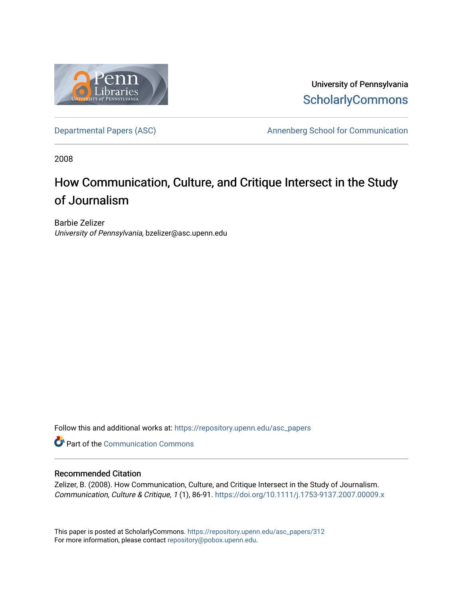

University of Pennsylvania **ScholarlyCommons** 

[Departmental Papers \(ASC\)](https://repository.upenn.edu/asc_papers) and a number of Annenberg School for Communication

2008

# How Communication, Culture, and Critique Intersect in the Study of Journalism

Barbie Zelizer University of Pennsylvania, bzelizer@asc.upenn.edu

Follow this and additional works at: [https://repository.upenn.edu/asc\\_papers](https://repository.upenn.edu/asc_papers?utm_source=repository.upenn.edu%2Fasc_papers%2F312&utm_medium=PDF&utm_campaign=PDFCoverPages)

**Part of the Communication Commons** 

### Recommended Citation

Zelizer, B. (2008). How Communication, Culture, and Critique Intersect in the Study of Journalism. Communication, Culture & Critique, 1 (1), 86-91. <https://doi.org/10.1111/j.1753-9137.2007.00009.x>

This paper is posted at ScholarlyCommons. [https://repository.upenn.edu/asc\\_papers/312](https://repository.upenn.edu/asc_papers/312)  For more information, please contact [repository@pobox.upenn.edu.](mailto:repository@pobox.upenn.edu)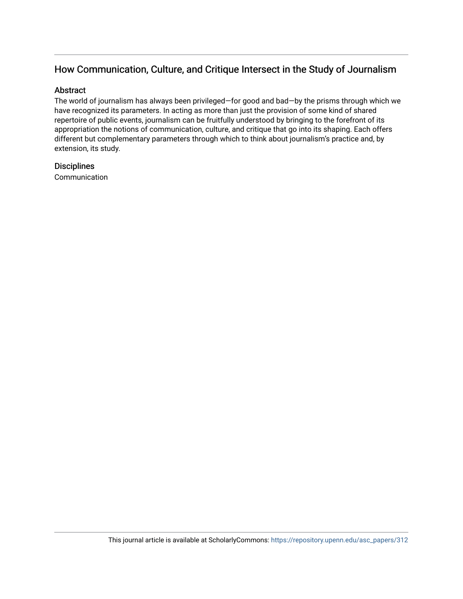# How Communication, Culture, and Critique Intersect in the Study of Journalism

## Abstract

The world of journalism has always been privileged—for good and bad—by the prisms through which we have recognized its parameters. In acting as more than just the provision of some kind of shared repertoire of public events, journalism can be fruitfully understood by bringing to the forefront of its appropriation the notions of communication, culture, and critique that go into its shaping. Each offers different but complementary parameters through which to think about journalism's practice and, by extension, its study.

# **Disciplines**

Communication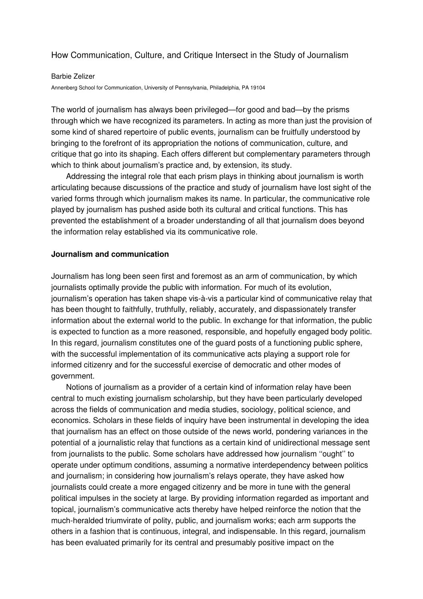# How Communication, Culture, and Critique Intersect in the Study of Journalism

#### Barbie Zelizer

Annenberg School for Communication, University of Pennsylvania, Philadelphia, PA 19104

The world of journalism has always been privileged—for good and bad—by the prisms through which we have recognized its parameters. In acting as more than just the provision of some kind of shared repertoire of public events, journalism can be fruitfully understood by bringing to the forefront of its appropriation the notions of communication, culture, and critique that go into its shaping. Each offers different but complementary parameters through which to think about journalism's practice and, by extension, its study.

Addressing the integral role that each prism plays in thinking about journalism is worth articulating because discussions of the practice and study of journalism have lost sight of the varied forms through which journalism makes its name. In particular, the communicative role played by journalism has pushed aside both its cultural and critical functions. This has prevented the establishment of a broader understanding of all that journalism does beyond the information relay established via its communicative role.

#### **Journalism and communication**

Journalism has long been seen first and foremost as an arm of communication, by which journalists optimally provide the public with information. For much of its evolution, journalism's operation has taken shape vis-à-vis a particular kind of communicative relay that has been thought to faithfully, truthfully, reliably, accurately, and dispassionately transfer information about the external world to the public. In exchange for that information, the public is expected to function as a more reasoned, responsible, and hopefully engaged body politic. In this regard, journalism constitutes one of the guard posts of a functioning public sphere, with the successful implementation of its communicative acts playing a support role for informed citizenry and for the successful exercise of democratic and other modes of government.

Notions of journalism as a provider of a certain kind of information relay have been central to much existing journalism scholarship, but they have been particularly developed across the fields of communication and media studies, sociology, political science, and economics. Scholars in these fields of inquiry have been instrumental in developing the idea that journalism has an effect on those outside of the news world, pondering variances in the potential of a journalistic relay that functions as a certain kind of unidirectional message sent from journalists to the public. Some scholars have addressed how journalism ''ought'' to operate under optimum conditions, assuming a normative interdependency between politics and journalism; in considering how journalism's relays operate, they have asked how journalists could create a more engaged citizenry and be more in tune with the general political impulses in the society at large. By providing information regarded as important and topical, journalism's communicative acts thereby have helped reinforce the notion that the much-heralded triumvirate of polity, public, and journalism works; each arm supports the others in a fashion that is continuous, integral, and indispensable. In this regard, journalism has been evaluated primarily for its central and presumably positive impact on the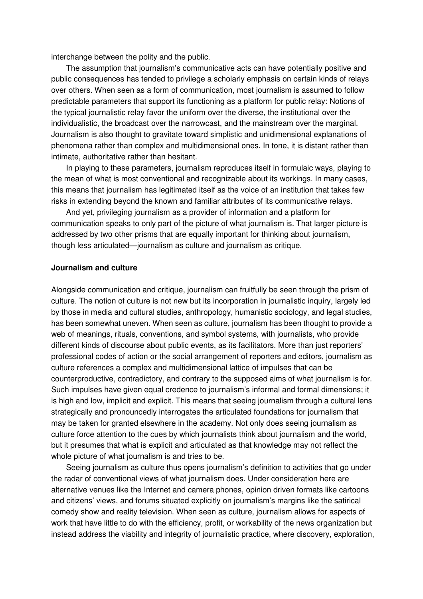interchange between the polity and the public.

The assumption that journalism's communicative acts can have potentially positive and public consequences has tended to privilege a scholarly emphasis on certain kinds of relays over others. When seen as a form of communication, most journalism is assumed to follow predictable parameters that support its functioning as a platform for public relay: Notions of the typical journalistic relay favor the uniform over the diverse, the institutional over the individualistic, the broadcast over the narrowcast, and the mainstream over the marginal. Journalism is also thought to gravitate toward simplistic and unidimensional explanations of phenomena rather than complex and multidimensional ones. In tone, it is distant rather than intimate, authoritative rather than hesitant.

In playing to these parameters, journalism reproduces itself in formulaic ways, playing to the mean of what is most conventional and recognizable about its workings. In many cases, this means that journalism has legitimated itself as the voice of an institution that takes few risks in extending beyond the known and familiar attributes of its communicative relays.

And yet, privileging journalism as a provider of information and a platform for communication speaks to only part of the picture of what journalism is. That larger picture is addressed by two other prisms that are equally important for thinking about journalism, though less articulated—journalism as culture and journalism as critique.

#### **Journalism and culture**

Alongside communication and critique, journalism can fruitfully be seen through the prism of culture. The notion of culture is not new but its incorporation in journalistic inquiry, largely led by those in media and cultural studies, anthropology, humanistic sociology, and legal studies, has been somewhat uneven. When seen as culture, journalism has been thought to provide a web of meanings, rituals, conventions, and symbol systems, with journalists, who provide different kinds of discourse about public events, as its facilitators. More than just reporters' professional codes of action or the social arrangement of reporters and editors, journalism as culture references a complex and multidimensional lattice of impulses that can be counterproductive, contradictory, and contrary to the supposed aims of what journalism is for. Such impulses have given equal credence to journalism's informal and formal dimensions; it is high and low, implicit and explicit. This means that seeing journalism through a cultural lens strategically and pronouncedly interrogates the articulated foundations for journalism that may be taken for granted elsewhere in the academy. Not only does seeing journalism as culture force attention to the cues by which journalists think about journalism and the world, but it presumes that what is explicit and articulated as that knowledge may not reflect the whole picture of what journalism is and tries to be.

Seeing journalism as culture thus opens journalism's definition to activities that go under the radar of conventional views of what journalism does. Under consideration here are alternative venues like the Internet and camera phones, opinion driven formats like cartoons and citizens' views, and forums situated explicitly on journalism's margins like the satirical comedy show and reality television. When seen as culture, journalism allows for aspects of work that have little to do with the efficiency, profit, or workability of the news organization but instead address the viability and integrity of journalistic practice, where discovery, exploration,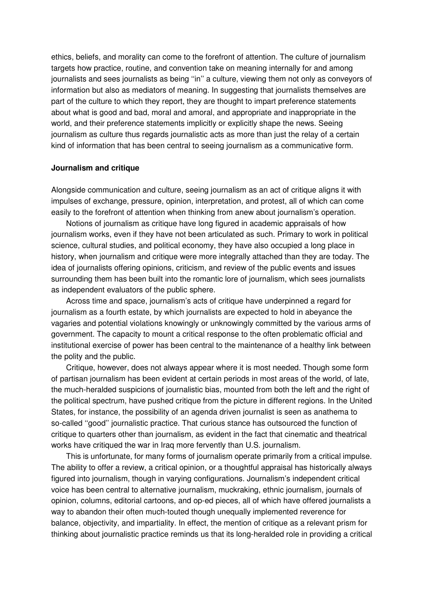ethics, beliefs, and morality can come to the forefront of attention. The culture of journalism targets how practice, routine, and convention take on meaning internally for and among journalists and sees journalists as being ''in'' a culture, viewing them not only as conveyors of information but also as mediators of meaning. In suggesting that journalists themselves are part of the culture to which they report, they are thought to impart preference statements about what is good and bad, moral and amoral, and appropriate and inappropriate in the world, and their preference statements implicitly or explicitly shape the news. Seeing journalism as culture thus regards journalistic acts as more than just the relay of a certain kind of information that has been central to seeing journalism as a communicative form.

#### **Journalism and critique**

Alongside communication and culture, seeing journalism as an act of critique aligns it with impulses of exchange, pressure, opinion, interpretation, and protest, all of which can come easily to the forefront of attention when thinking from anew about journalism's operation.

Notions of journalism as critique have long figured in academic appraisals of how journalism works, even if they have not been articulated as such. Primary to work in political science, cultural studies, and political economy, they have also occupied a long place in history, when journalism and critique were more integrally attached than they are today. The idea of journalists offering opinions, criticism, and review of the public events and issues surrounding them has been built into the romantic lore of journalism, which sees journalists as independent evaluators of the public sphere.

Across time and space, journalism's acts of critique have underpinned a regard for journalism as a fourth estate, by which journalists are expected to hold in abeyance the vagaries and potential violations knowingly or unknowingly committed by the various arms of government. The capacity to mount a critical response to the often problematic official and institutional exercise of power has been central to the maintenance of a healthy link between the polity and the public.

Critique, however, does not always appear where it is most needed. Though some form of partisan journalism has been evident at certain periods in most areas of the world, of late, the much-heralded suspicions of journalistic bias, mounted from both the left and the right of the political spectrum, have pushed critique from the picture in different regions. In the United States, for instance, the possibility of an agenda driven journalist is seen as anathema to so-called ''good'' journalistic practice. That curious stance has outsourced the function of critique to quarters other than journalism, as evident in the fact that cinematic and theatrical works have critiqued the war in Iraq more fervently than U.S. journalism.

This is unfortunate, for many forms of journalism operate primarily from a critical impulse. The ability to offer a review, a critical opinion, or a thoughtful appraisal has historically always figured into journalism, though in varying configurations. Journalism's independent critical voice has been central to alternative journalism, muckraking, ethnic journalism, journals of opinion, columns, editorial cartoons, and op-ed pieces, all of which have offered journalists a way to abandon their often much-touted though unequally implemented reverence for balance, objectivity, and impartiality. In effect, the mention of critique as a relevant prism for thinking about journalistic practice reminds us that its long-heralded role in providing a critical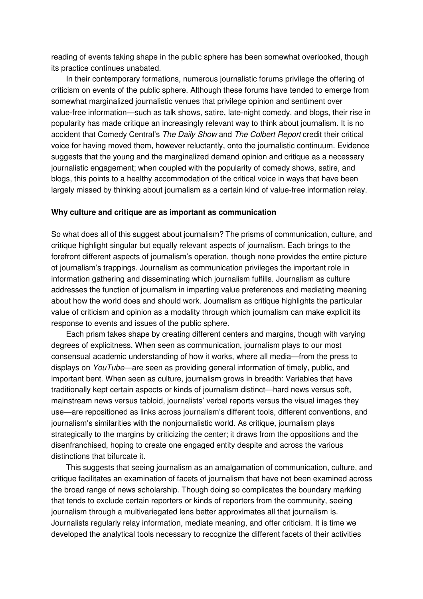reading of events taking shape in the public sphere has been somewhat overlooked, though its practice continues unabated.

In their contemporary formations, numerous journalistic forums privilege the offering of criticism on events of the public sphere. Although these forums have tended to emerge from somewhat marginalized journalistic venues that privilege opinion and sentiment over value-free information—such as talk shows, satire, late-night comedy, and blogs, their rise in popularity has made critique an increasingly relevant way to think about journalism. It is no accident that Comedy Central's The Daily Show and The Colbert Report credit their critical voice for having moved them, however reluctantly, onto the journalistic continuum. Evidence suggests that the young and the marginalized demand opinion and critique as a necessary journalistic engagement; when coupled with the popularity of comedy shows, satire, and blogs, this points to a healthy accommodation of the critical voice in ways that have been largely missed by thinking about journalism as a certain kind of value-free information relay.

#### **Why culture and critique are as important as communication**

So what does all of this suggest about journalism? The prisms of communication, culture, and critique highlight singular but equally relevant aspects of journalism. Each brings to the forefront different aspects of journalism's operation, though none provides the entire picture of journalism's trappings. Journalism as communication privileges the important role in information gathering and disseminating which journalism fulfills. Journalism as culture addresses the function of journalism in imparting value preferences and mediating meaning about how the world does and should work. Journalism as critique highlights the particular value of criticism and opinion as a modality through which journalism can make explicit its response to events and issues of the public sphere.

Each prism takes shape by creating different centers and margins, though with varying degrees of explicitness. When seen as communication, journalism plays to our most consensual academic understanding of how it works, where all media—from the press to displays on YouTube—are seen as providing general information of timely, public, and important bent. When seen as culture, journalism grows in breadth: Variables that have traditionally kept certain aspects or kinds of journalism distinct—hard news versus soft, mainstream news versus tabloid, journalists' verbal reports versus the visual images they use—are repositioned as links across journalism's different tools, different conventions, and journalism's similarities with the nonjournalistic world. As critique, journalism plays strategically to the margins by criticizing the center; it draws from the oppositions and the disenfranchised, hoping to create one engaged entity despite and across the various distinctions that bifurcate it.

This suggests that seeing journalism as an amalgamation of communication, culture, and critique facilitates an examination of facets of journalism that have not been examined across the broad range of news scholarship. Though doing so complicates the boundary marking that tends to exclude certain reporters or kinds of reporters from the community, seeing journalism through a multivariegated lens better approximates all that journalism is. Journalists regularly relay information, mediate meaning, and offer criticism. It is time we developed the analytical tools necessary to recognize the different facets of their activities